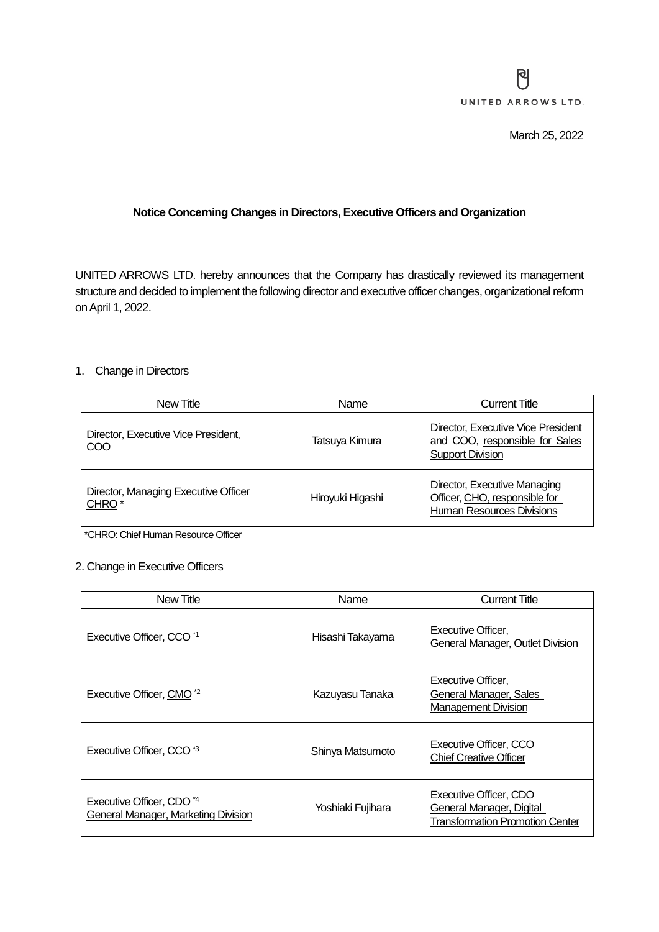## **Notice Concerning Changes in Directors, Executive Officers and Organization**

UNITED ARROWS LTD. hereby announces that the Company has drastically reviewed its management structure and decided to implement the following director and executive officer changes, organizational reform on April 1, 2022.

## 1. Change in Directors

| New Title                                                 | Name             | <b>Current Title</b>                                                                              |
|-----------------------------------------------------------|------------------|---------------------------------------------------------------------------------------------------|
| Director, Executive Vice President,<br>COO                | Tatsuya Kimura   | Director, Executive Vice President<br>and COO, responsible for Sales<br><b>Support Division</b>   |
| Director, Managing Executive Officer<br>CHRO <sup>*</sup> | Hiroyuki Higashi | Director, Executive Managing<br>Officer, CHO, responsible for<br><b>Human Resources Divisions</b> |

\*CHRO: Chief Human Resource Officer

## 2. Change in Executive Officers

| New Title                                                                          | Name              | <b>Current Title</b>                                                                                |
|------------------------------------------------------------------------------------|-------------------|-----------------------------------------------------------------------------------------------------|
| Executive Officer, CCO <sup>*1</sup>                                               | Hisashi Takayama  | Executive Officer,<br>General Manager, Outlet Division                                              |
| Executive Officer, CMO <sup>*2</sup>                                               | Kazuyasu Tanaka   | Executive Officer,<br>General Manager, Sales<br><b>Management Division</b>                          |
| Executive Officer, CCO <sup>*3</sup>                                               | Shinya Matsumoto  | Executive Officer, CCO<br><b>Chief Creative Officer</b>                                             |
| Executive Officer, CDO <sup>*4</sup><br><b>General Manager, Marketing Division</b> | Yoshiaki Fujihara | Executive Officer, CDO<br><b>General Manager, Digital</b><br><b>Transformation Promotion Center</b> |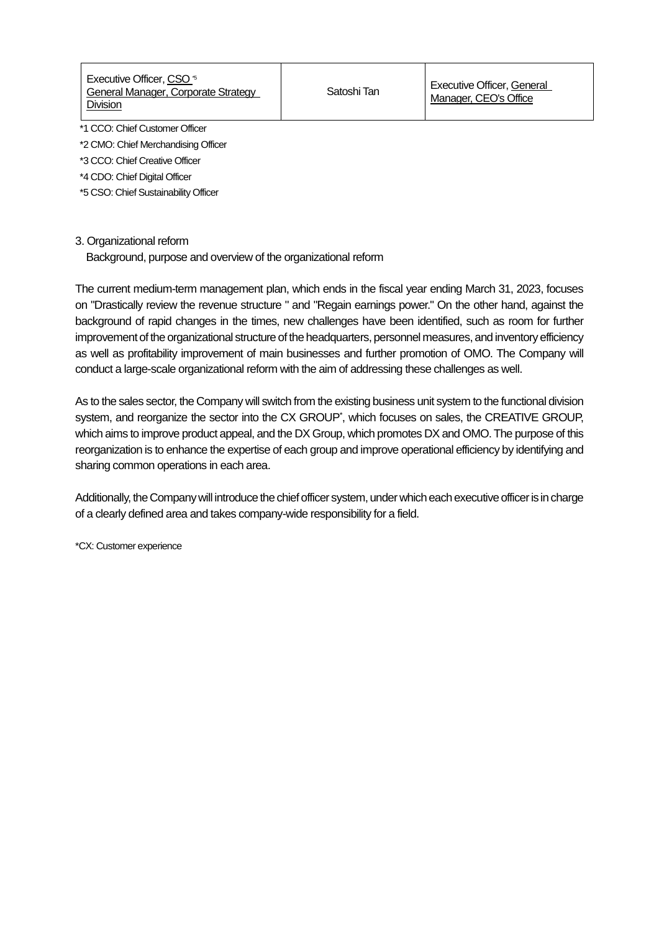Executive Officer, CSO<sup>5</sup> General Manager, Corporate Strategy Division

\*1 CCO: Chief Customer Officer

\*2 CMO: Chief Merchandising Officer

\*3 CCO: Chief Creative Officer

\*4 CDO: Chief Digital Officer

\*5 CSO: Chief Sustainability Officer

## 3. Organizational reform

Background, purpose and overview of the organizational reform

The current medium-term management plan, which ends in the fiscal year ending March 31, 2023, focuses on "Drastically review the revenue structure " and "Regain earnings power." On the other hand, against the background of rapid changes in the times, new challenges have been identified, such as room for further improvement of the organizational structure of the headquarters, personnel measures, and inventory efficiency as well as profitability improvement of main businesses and further promotion of OMO. The Company will conduct a large-scale organizational reform with the aim of addressing these challenges as well.

As to the sales sector, the Company will switch from the existing business unit system to the functional division system, and reorganize the sector into the CX GROUP<sup>\*</sup>, which focuses on sales, the CREATIVE GROUP, which aims to improve product appeal, and the DX Group, which promotes DX and OMO. The purpose of this reorganization is to enhance the expertise of each group and improve operational efficiency by identifying and sharing common operations in each area.

Additionally, the Company will introduce the chief officer system, under which each executive officer is in charge of a clearly defined area and takes company-wide responsibility for a field.

\*CX: Customer experience